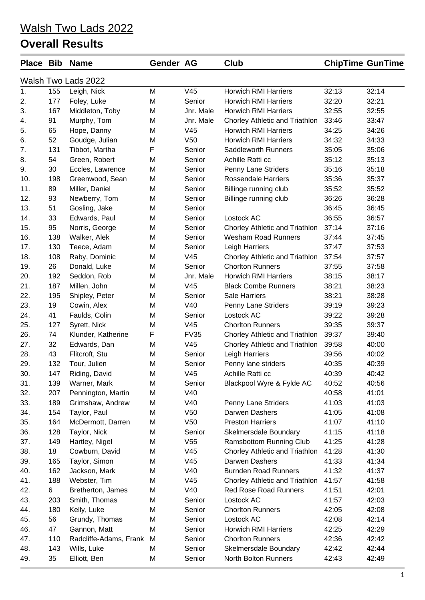| <b>Place Bib</b> |     | <b>Name</b>            | Gender AG |                 | <b>Club</b>                    | <b>ChipTime GunTime</b> |       |
|------------------|-----|------------------------|-----------|-----------------|--------------------------------|-------------------------|-------|
|                  |     | Walsh Two Lads 2022    |           |                 |                                |                         |       |
| 1.               | 155 | Leigh, Nick            | M         | V45             | <b>Horwich RMI Harriers</b>    | 32:13                   | 32:14 |
| 2.               | 177 | Foley, Luke            | M         | Senior          | <b>Horwich RMI Harriers</b>    | 32:20                   | 32:21 |
| 3.               | 167 | Middleton, Toby        | M         | Jnr. Male       | <b>Horwich RMI Harriers</b>    | 32:55                   | 32:55 |
| 4.               | 91  | Murphy, Tom            | M         | Jnr. Male       | Chorley Athletic and Triathlon | 33:46                   | 33:47 |
| 5.               | 65  | Hope, Danny            | M         | V45             | <b>Horwich RMI Harriers</b>    | 34:25                   | 34:26 |
| 6.               | 52  | Goudge, Julian         | M         | V <sub>50</sub> | <b>Horwich RMI Harriers</b>    | 34:32                   | 34:33 |
| 7.               | 131 | Tibbot, Martha         | F         | Senior          | <b>Saddleworth Runners</b>     | 35:05                   | 35:06 |
| 8.               | 54  | Green, Robert          | M         | Senior          | Achille Ratti cc               | 35:12                   | 35:13 |
| 9.               | 30  | Eccles, Lawrence       | M         | Senior          | Penny Lane Striders            | 35:16                   | 35:18 |
| 10.              | 198 | Greenwood, Sean        | M         | Senior          | <b>Rossendale Harriers</b>     | 35:36                   | 35:37 |
| 11.              | 89  | Miller, Daniel         | M         | Senior          | Billinge running club          | 35:52                   | 35:52 |
| 12.              | 93  | Newberry, Tom          | M         | Senior          | Billinge running club          | 36:26                   | 36:28 |
| 13.              | 51  | Gosling, Jake          | M         | Senior          |                                | 36:45                   | 36:45 |
| 14.              | 33  | Edwards, Paul          | M         | Senior          | Lostock AC                     | 36:55                   | 36:57 |
| 15.              | 95  | Norris, George         | M         | Senior          | Chorley Athletic and Triathlon | 37:14                   | 37:16 |
| 16.              | 138 | Walker, Alek           | M         | Senior          | <b>Wesham Road Runners</b>     | 37:44                   | 37:45 |
| 17.              | 130 | Teece, Adam            | M         | Senior          | Leigh Harriers                 | 37:47                   | 37:53 |
| 18.              | 108 | Raby, Dominic          | M         | V45             | Chorley Athletic and Triathlon | 37:54                   | 37:57 |
| 19.              | 26  | Donald, Luke           | M         | Senior          | <b>Chorlton Runners</b>        | 37:55                   | 37:58 |
| 20.              | 192 | Seddon, Rob            | M         | Jnr. Male       | <b>Horwich RMI Harriers</b>    | 38:15                   | 38:17 |
| 21.              | 187 | Millen, John           | M         | V45             | <b>Black Combe Runners</b>     | 38:21                   | 38:23 |
| 22.              | 195 | Shipley, Peter         | M         | Senior          | <b>Sale Harriers</b>           | 38:21                   | 38:28 |
| 23.              | 19  | Cowin, Alex            | M         | V40             | Penny Lane Striders            | 39:19                   | 39:23 |
| 24.              | 41  | Faulds, Colin          | M         | Senior          | Lostock AC                     | 39:22                   | 39:28 |
| 25.              | 127 | Syrett, Nick           | M         | V45             | <b>Chorlton Runners</b>        | 39:35                   | 39:37 |
| 26.              | 74  | Klunder, Katherine     | F         | <b>FV35</b>     | Chorley Athletic and Triathlon | 39:37                   | 39:40 |
| 27.              | 32  | Edwards, Dan           | M         | V45             | Chorley Athletic and Triathlon | 39:58                   | 40:00 |
| 28.              | 43  | Flitcroft, Stu         | M         | Senior          | Leigh Harriers                 | 39:56                   | 40:02 |
| 29.              | 132 | Tour, Julien           | M         | Senior          | Penny lane striders            | 40:35                   | 40:39 |
| 30.              | 147 | Riding, David          | M         | V45             | Achille Ratti cc               | 40:39                   | 40:42 |
| 31.              | 139 | Warner, Mark           | M         | Senior          | Blackpool Wyre & Fylde AC      | 40:52                   | 40:56 |
| 32.              | 207 | Pennington, Martin     | M         | V40             |                                | 40:58                   | 41:01 |
| 33.              | 189 | Grimshaw, Andrew       | M         | V40             | Penny Lane Striders            | 41:03                   | 41:03 |
| 34.              | 154 | Taylor, Paul           | M         | V <sub>50</sub> | Darwen Dashers                 | 41:05                   | 41:08 |
| 35.              | 164 | McDermott, Darren      | M         | V <sub>50</sub> | <b>Preston Harriers</b>        | 41:07                   | 41:10 |
| 36.              | 128 | Taylor, Nick           | M         | Senior          | Skelmersdale Boundary          | 41:15                   | 41:18 |
| 37.              | 149 | Hartley, Nigel         | M         | V55             | <b>Ramsbottom Running Club</b> | 41:25                   | 41:28 |
| 38.              | 18  | Cowburn, David         | M         | V45             | Chorley Athletic and Triathlon | 41:28                   | 41:30 |
| 39.              | 165 | Taylor, Simon          | M         | V45             | Darwen Dashers                 | 41:33                   | 41:34 |
| 40.              | 162 | Jackson, Mark          | M         | V40             | <b>Burnden Road Runners</b>    | 41:32                   | 41:37 |
| 41.              | 188 | Webster, Tim           | M         | V <sub>45</sub> | Chorley Athletic and Triathlon | 41:57                   | 41:58 |
| 42.              | 6   | Bretherton, James      | M         | V40             | <b>Red Rose Road Runners</b>   | 41:51                   | 42:01 |
| 43.              | 203 | Smith, Thomas          | M         | Senior          | Lostock AC                     | 41:57                   | 42:03 |
| 44.              | 180 | Kelly, Luke            | M         | Senior          | <b>Chorlton Runners</b>        | 42:05                   | 42:08 |
| 45.              | 56  | Grundy, Thomas         | M         | Senior          | Lostock AC                     | 42:08                   | 42:14 |
| 46.              | 47  | Gannon, Matt           | M         | Senior          | <b>Horwich RMI Harriers</b>    | 42:25                   | 42:29 |
| 47.              | 110 | Radcliffe-Adams, Frank | M         | Senior          | <b>Chorlton Runners</b>        | 42:36                   | 42:42 |
| 48.              | 143 | Wills, Luke            | M         | Senior          | Skelmersdale Boundary          | 42:42                   | 42:44 |
| 49.              | 35  | Elliott, Ben           | M         | Senior          | North Bolton Runners           | 42:43                   | 42:49 |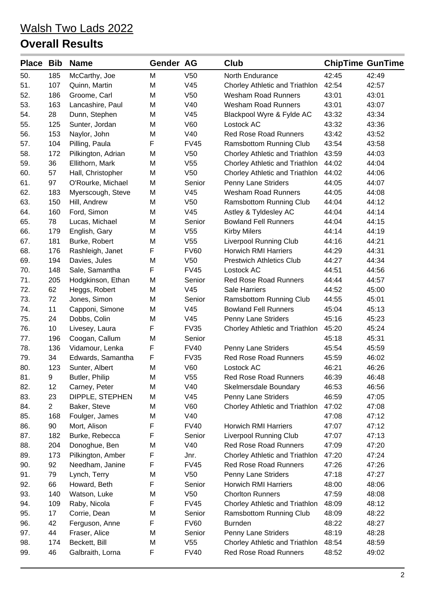| <b>Place</b> | <b>Bib</b>     | <b>Name</b>        | Gender AG |                 | Club                            | <b>ChipTime GunTime</b> |       |
|--------------|----------------|--------------------|-----------|-----------------|---------------------------------|-------------------------|-------|
| 50.          | 185            | McCarthy, Joe      | M         | V <sub>50</sub> | North Endurance                 | 42:45                   | 42:49 |
| 51.          | 107            | Quinn, Martin      | M         | V45             | Chorley Athletic and Triathlon  | 42:54                   | 42:57 |
| 52.          | 186            | Groome, Carl       | M         | V <sub>50</sub> | <b>Wesham Road Runners</b>      | 43:01                   | 43:01 |
| 53.          | 163            | Lancashire, Paul   | M         | V40             | <b>Wesham Road Runners</b>      | 43:01                   | 43:07 |
| 54.          | 28             | Dunn, Stephen      | M         | V45             | Blackpool Wyre & Fylde AC       | 43:32                   | 43:34 |
| 55.          | 125            | Sunter, Jordan     | M         | V60             | Lostock AC                      | 43:32                   | 43:36 |
| 56.          | 153            | Naylor, John       | M         | V40             | <b>Red Rose Road Runners</b>    | 43:42                   | 43:52 |
| 57.          | 104            | Pilling, Paula     | F         | <b>FV45</b>     | Ramsbottom Running Club         | 43:54                   | 43:58 |
| 58.          | 172            | Pilkington, Adrian | M         | V <sub>50</sub> | Chorley Athletic and Triathlon  | 43:59                   | 44:03 |
| 59.          | 36             | Ellithorn, Mark    | M         | V <sub>55</sub> | Chorley Athletic and Triathlon  | 44:02                   | 44:04 |
| 60.          | 57             | Hall, Christopher  | M         | V <sub>50</sub> | Chorley Athletic and Triathlon  | 44:02                   | 44:06 |
| 61.          | 97             | O'Rourke, Michael  | M         | Senior          | Penny Lane Striders             | 44:05                   | 44:07 |
| 62.          | 183            | Myerscough, Steve  | M         | V45             | <b>Wesham Road Runners</b>      | 44:05                   | 44:08 |
| 63.          | 150            | Hill, Andrew       | M         | V <sub>50</sub> | Ramsbottom Running Club         | 44:04                   | 44:12 |
| 64.          | 160            | Ford, Simon        | M         | V45             | Astley & Tyldesley AC           | 44:04                   | 44:14 |
| 65.          | 78             | Lucas, Michael     | M         | Senior          | <b>Bowland Fell Runners</b>     | 44:04                   | 44:15 |
| 66.          | 179            | English, Gary      | M         | V55             | <b>Kirby Milers</b>             | 44:14                   | 44:19 |
| 67.          | 181            | Burke, Robert      | M         | V <sub>55</sub> | <b>Liverpool Running Club</b>   | 44:16                   | 44:21 |
| 68.          | 176            | Rashleigh, Janet   | F         | <b>FV60</b>     | <b>Horwich RMI Harriers</b>     | 44:29                   | 44:31 |
| 69.          | 194            | Davies, Jules      | M         | V <sub>50</sub> | <b>Prestwich Athletics Club</b> | 44:27                   | 44:34 |
| 70.          | 148            | Sale, Samantha     | F         | <b>FV45</b>     | Lostock AC                      | 44:51                   | 44:56 |
| 71.          | 205            | Hodgkinson, Ethan  | M         | Senior          | <b>Red Rose Road Runners</b>    | 44:44                   | 44:57 |
| 72.          | 62             | Heggs, Robert      | M         | V45             | <b>Sale Harriers</b>            | 44:52                   | 45:00 |
| 73.          | 72             | Jones, Simon       | M         | Senior          | Ramsbottom Running Club         | 44:55                   | 45:01 |
| 74.          | 11             | Capponi, Simone    | M         | V45             | <b>Bowland Fell Runners</b>     | 45:04                   | 45:13 |
| 75.          | 24             | Dobbs, Colin       | M         | V45             | Penny Lane Striders             | 45:16                   | 45:23 |
| 76.          | 10             | Livesey, Laura     | F         | <b>FV35</b>     | Chorley Athletic and Triathlon  | 45:20                   | 45:24 |
| 77.          | 196            | Coogan, Callum     | M         | Senior          |                                 | 45:18                   | 45:31 |
| 78.          | 136            | Vidamour, Lenka    | F         | <b>FV40</b>     | Penny Lane Striders             | 45:54                   | 45:59 |
| 79.          | 34             | Edwards, Samantha  | F         | <b>FV35</b>     | <b>Red Rose Road Runners</b>    | 45:59                   | 46:02 |
| 80.          | 123            | Sunter, Albert     | M         | V60             | Lostock AC                      | 46:21                   | 46:26 |
| 81.          | 9              | Butler, Philip     | M         | V <sub>55</sub> | <b>Red Rose Road Runners</b>    | 46:39                   | 46:48 |
| 82.          | 12             | Carney, Peter      | M         | V40             | Skelmersdale Boundary           | 46:53                   | 46:56 |
| 83.          | 23             | DIPPLE, STEPHEN    | M         | V45             | Penny Lane Striders             | 46:59                   | 47:05 |
| 84.          | $\overline{2}$ | Baker, Steve       | M         | V60             | Chorley Athletic and Triathlon  | 47:02                   | 47:08 |
| 85.          | 168            | Foulger, James     | M         | V40             |                                 | 47:08                   | 47:12 |
| 86.          | 90             | Mort, Alison       | F         | <b>FV40</b>     | <b>Horwich RMI Harriers</b>     | 47:07                   | 47:12 |
| 87.          | 182            | Burke, Rebecca     | F         | Senior          | <b>Liverpool Running Club</b>   | 47:07                   | 47:13 |
| 88.          | 204            | Donoghue, Ben      | M         | V40             | <b>Red Rose Road Runners</b>    | 47:09                   | 47:20 |
| 89.          | 173            | Pilkington, Amber  | F         | Jnr.            | Chorley Athletic and Triathlon  | 47:20                   | 47:24 |
| 90.          | 92             | Needham, Janine    | F         | <b>FV45</b>     | <b>Red Rose Road Runners</b>    | 47:26                   | 47:26 |
| 91.          | 79             | Lynch, Terry       | M         | V <sub>50</sub> | Penny Lane Striders             | 47:18                   | 47:27 |
| 92.          | 66             | Howard, Beth       | F         | Senior          | <b>Horwich RMI Harriers</b>     | 48:00                   | 48:06 |
| 93.          | 140            | Watson, Luke       | M         | V <sub>50</sub> | <b>Chorlton Runners</b>         | 47:59                   | 48:08 |
| 94.          | 109            | Raby, Nicola       | F         | <b>FV45</b>     | Chorley Athletic and Triathlon  | 48:09                   | 48:12 |
| 95.          | 17             | Corrie, Dean       | M         | Senior          | <b>Ramsbottom Running Club</b>  | 48:09                   | 48:22 |
| 96.          | 42             | Ferguson, Anne     | F         | <b>FV60</b>     | <b>Burnden</b>                  | 48:22                   | 48:27 |
| 97.          | 44             | Fraser, Alice      | M         | Senior          | Penny Lane Striders             | 48:19                   | 48:28 |
| 98.          | 174            | Beckett, Bill      | M         | V55             | Chorley Athletic and Triathlon  | 48:54                   | 48:59 |
| 99.          | 46             | Galbraith, Lorna   | F         | <b>FV40</b>     | Red Rose Road Runners           | 48:52                   | 49:02 |
|              |                |                    |           |                 |                                 |                         |       |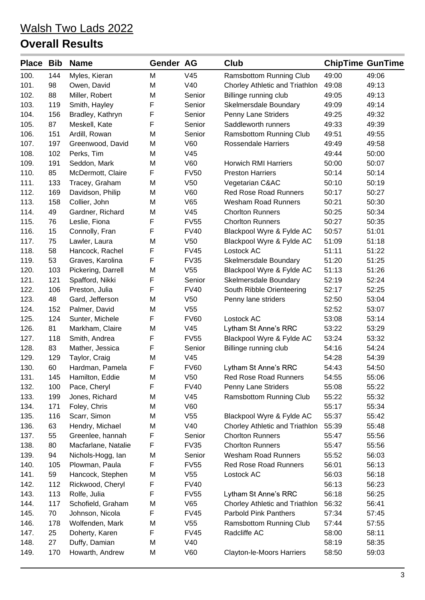| <b>Place Bib</b> |     | <b>Name</b>         | Gender AG |                 | Club                             |       | <b>ChipTime GunTime</b> |
|------------------|-----|---------------------|-----------|-----------------|----------------------------------|-------|-------------------------|
| 100.             | 144 | Myles, Kieran       | M         | V45             | Ramsbottom Running Club          | 49:00 | 49:06                   |
| 101.             | 98  | Owen, David         | M         | V40             | Chorley Athletic and Triathlon   | 49:08 | 49:13                   |
| 102.             | 88  | Miller, Robert      | M         | Senior          | Billinge running club            | 49:05 | 49:13                   |
| 103.             | 119 | Smith, Hayley       | F         | Senior          | Skelmersdale Boundary            | 49:09 | 49:14                   |
| 104.             | 156 | Bradley, Kathryn    | F         | Senior          | Penny Lane Striders              | 49:25 | 49:32                   |
| 105.             | 87  | Meskell, Kate       | F         | Senior          | Saddleworth runners              | 49:33 | 49:39                   |
| 106.             | 151 | Ardill, Rowan       | M         | Senior          | Ramsbottom Running Club          | 49:51 | 49:55                   |
| 107.             | 197 | Greenwood, David    | M         | V60             | <b>Rossendale Harriers</b>       | 49:49 | 49:58                   |
| 108.             | 102 | Perks, Tim          | M         | V45             |                                  | 49:44 | 50:00                   |
| 109.             | 191 | Seddon, Mark        | M         | V60             | <b>Horwich RMI Harriers</b>      | 50:00 | 50:07                   |
| 110.             | 85  | McDermott, Claire   | F         | <b>FV50</b>     | <b>Preston Harriers</b>          | 50:14 | 50:14                   |
| 111.             | 133 | Tracey, Graham      | M         | V <sub>50</sub> | Vegetarian C&AC                  | 50:10 | 50:19                   |
| 112.             | 169 | Davidson, Philip    | M         | V60             | <b>Red Rose Road Runners</b>     | 50:17 | 50:27                   |
| 113.             | 158 | Collier, John       | M         | V65             | <b>Wesham Road Runners</b>       | 50:21 | 50:30                   |
| 114.             | 49  | Gardner, Richard    | M         | V45             | <b>Chorlton Runners</b>          | 50:25 | 50:34                   |
| 115.             | 76  | Leslie, Fiona       | F         | <b>FV55</b>     | <b>Chorlton Runners</b>          | 50:27 | 50:35                   |
| 116.             | 15  | Connolly, Fran      | F         | <b>FV40</b>     | Blackpool Wyre & Fylde AC        | 50:57 | 51:01                   |
| 117.             | 75  | Lawler, Laura       | M         | V <sub>50</sub> | Blackpool Wyre & Fylde AC        | 51:09 | 51:18                   |
| 118.             | 58  | Hancock, Rachel     | F         | <b>FV45</b>     | Lostock AC                       | 51:11 | 51:22                   |
| 119.             | 53  | Graves, Karolina    | F         | <b>FV35</b>     | Skelmersdale Boundary            | 51:20 | 51:25                   |
| 120.             | 103 | Pickering, Darrell  | M         | V <sub>55</sub> | Blackpool Wyre & Fylde AC        | 51:13 | 51:26                   |
| 121.             | 121 | Spafford, Nikki     | F         | Senior          | Skelmersdale Boundary            | 52:19 | 52:24                   |
| 122.             | 106 | Preston, Julia      | F         | <b>FV40</b>     | South Ribble Orienteering        | 52:17 | 52:25                   |
| 123.             | 48  | Gard, Jefferson     | M         | V <sub>50</sub> | Penny lane striders              | 52:50 | 53:04                   |
| 124.             | 152 | Palmer, David       | M         | V <sub>55</sub> |                                  | 52:52 | 53:07                   |
| 125.             | 124 | Sunter, Michele     | F         | <b>FV60</b>     | Lostock AC                       | 53:08 | 53:14                   |
| 126.             | 81  | Markham, Claire     | M         | V45             | Lytham St Anne's RRC             | 53:22 | 53:29                   |
| 127.             | 118 | Smith, Andrea       | F         | <b>FV55</b>     | Blackpool Wyre & Fylde AC        | 53:24 | 53:32                   |
| 128.             | 83  | Mather, Jessica     | F         | Senior          | Billinge running club            | 54:16 | 54:24                   |
| 129.             | 129 | Taylor, Craig       | M         | V45             |                                  | 54:28 | 54:39                   |
| 130.             | 60  | Hardman, Pamela     | F         | <b>FV60</b>     | Lytham St Anne's RRC             | 54:43 | 54:50                   |
| 131.             | 145 | Hamilton, Eddie     | M         | V50             | <b>Red Rose Road Runners</b>     | 54:55 | 55:06                   |
| 132.             | 100 | Pace, Cheryl        | F         | <b>FV40</b>     | Penny Lane Striders              | 55:08 | 55:22                   |
| 133.             | 199 | Jones, Richard      | M         | V45             | Ramsbottom Running Club          | 55:22 | 55:32                   |
| 134.             | 171 | Foley, Chris        | M         | <b>V60</b>      |                                  | 55:17 | 55:34                   |
| 135.             | 116 | Scarr, Simon        | M         | V <sub>55</sub> | Blackpool Wyre & Fylde AC        | 55:37 | 55:42                   |
| 136.             | 63  | Hendry, Michael     | M         | V40             | Chorley Athletic and Triathlon   | 55:39 | 55:48                   |
| 137.             | 55  | Greenlee, hannah    | F         | Senior          | <b>Chorlton Runners</b>          | 55:47 | 55:56                   |
| 138.             | 80  | Macfarlane, Natalie | F         | <b>FV35</b>     | <b>Chorlton Runners</b>          | 55:47 | 55:56                   |
| 139.             | 94  | Nichols-Hogg, lan   | M         | Senior          | Wesham Road Runners              | 55:52 | 56:03                   |
| 140.             | 105 | Plowman, Paula      | F         | <b>FV55</b>     | <b>Red Rose Road Runners</b>     | 56:01 | 56:13                   |
| 141.             | 59  | Hancock, Stephen    | M         | V <sub>55</sub> | Lostock AC                       | 56:03 | 56:18                   |
| 142.             | 112 | Rickwood, Cheryl    | F         | <b>FV40</b>     |                                  | 56:13 | 56:23                   |
| 143.             | 113 | Rolfe, Julia        | F         | <b>FV55</b>     | Lytham St Anne's RRC             | 56:18 | 56:25                   |
| 144.             | 117 | Schofield, Graham   | M         | V65             | Chorley Athletic and Triathlon   | 56:32 | 56:41                   |
| 145.             | 70  | Johnson, Nicola     | F         | <b>FV45</b>     | <b>Parbold Pink Panthers</b>     | 57:34 | 57:45                   |
| 146.             | 178 | Wolfenden, Mark     | M         | V <sub>55</sub> | Ramsbottom Running Club          | 57:44 | 57:55                   |
| 147.             | 25  | Doherty, Karen      | F         | <b>FV45</b>     | Radcliffe AC                     | 58:00 | 58:11                   |
| 148.             | 27  | Duffy, Damian       | M         | V40             |                                  | 58:19 | 58:35                   |
| 149.             | 170 | Howarth, Andrew     | M         | V60             | <b>Clayton-le-Moors Harriers</b> | 58:50 | 59:03                   |
|                  |     |                     |           |                 |                                  |       |                         |